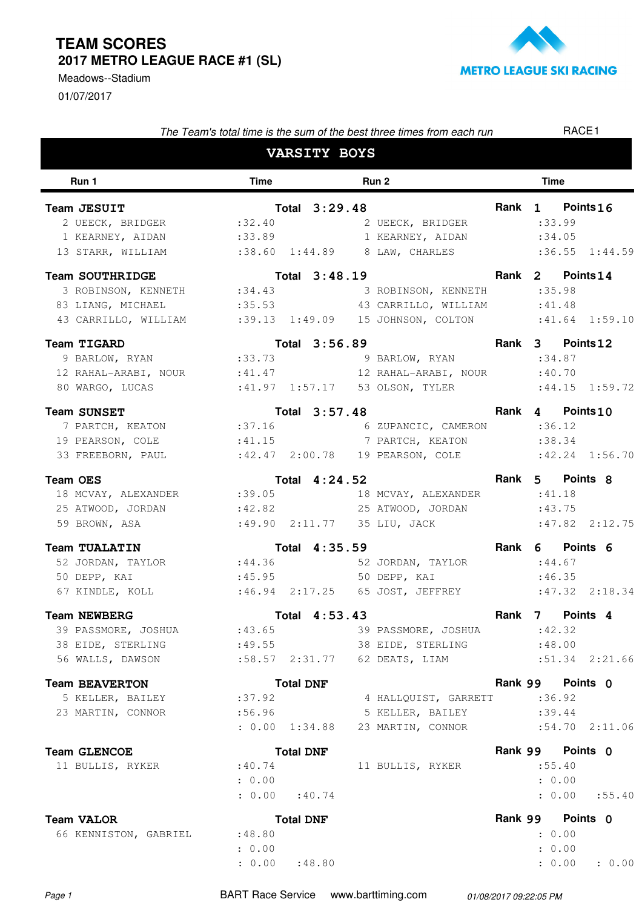## **TEAM SCORES 2017 METRO LEAGUE RACE #1 (SL)**

01/07/2017 Meadows--Stadium



| The Team's total time is the sum of the best three times from each run |                    |                     |                  |  |                                      |             |         | RACE1                                 |                    |  |  |
|------------------------------------------------------------------------|--------------------|---------------------|------------------|--|--------------------------------------|-------------|---------|---------------------------------------|--------------------|--|--|
|                                                                        |                    | <b>VARSITY BOYS</b> |                  |  |                                      |             |         |                                       |                    |  |  |
| Run 1                                                                  | <b>Time</b>        |                     | Run 2            |  |                                      | <b>Time</b> |         |                                       |                    |  |  |
| Team JESUIT<br>2 UEECK, BRIDGER :32.40<br>1 KEARNEY, AIDAN : 33.89     |                    |                     | Total 3:29.48    |  | 2 UEECK, BRIDGER<br>1 KEARNEY, AIDAN |             |         | Rank 1 Points 16<br>: 33.99<br>:34.05 |                    |  |  |
| 13 STARR, WILLIAM                                                      |                    |                     |                  |  | :38.60 1:44.89 8 LAW, CHARLES        |             |         |                                       | $:36.55$ $1:44.59$ |  |  |
| <b>Team SOUTHRIDGE</b>                                                 |                    |                     | Total 3:48.19    |  |                                      |             | Rank 2  | Points 14                             |                    |  |  |
| 3 ROBINSON, KENNETH : 34.43                                            |                    |                     |                  |  | 3 ROBINSON, KENNETH                  |             |         | :35.98                                |                    |  |  |
| 83 LIANG, MICHAEL                                                      | :35.53             |                     |                  |  | 43 CARRILLO, WILLIAM                 |             |         | :41.48                                |                    |  |  |
| 43 CARRILLO, WILLIAM :39.13 1:49.09                                    |                    |                     |                  |  | 15 JOHNSON, COLTON : 41.64 1:59.10   |             |         |                                       |                    |  |  |
| Team TIGARD                                                            |                    |                     | Total 3:56.89    |  |                                      |             |         | Rank 3 Points 12                      |                    |  |  |
| 9 BARLOW, RYAN                                                         | : 33.73            |                     |                  |  | 9 BARLOW, RYAN                       |             |         | : 34.87                               |                    |  |  |
| 12 RAHAL-ARABI, NOUR : 41.47                                           |                    |                     |                  |  | 12 RAHAL-ARABI, NOUR                 |             |         | :40.70                                |                    |  |  |
| 80 WARGO, LUCAS                                                        |                    |                     |                  |  |                                      |             |         |                                       | $:44.15$ $1:59.72$ |  |  |
| <b>Team SUNSET</b>                                                     |                    |                     | Total 3:57.48    |  |                                      |             |         | Rank 4 Points 10                      |                    |  |  |
| 7 PARTCH, KEATON :37.16                                                |                    |                     |                  |  | 6 ZUPANCIC, CAMERON                  |             |         | : 36.12                               |                    |  |  |
| 19 PEARSON, COLE : 41.15 7 PARTCH, KEATON                              |                    |                     |                  |  |                                      |             |         | : 38.34                               |                    |  |  |
| 33 FREEBORN, PAUL :42.47 2:00.78 19 PEARSON, COLE :42.24 1:56.70       |                    |                     |                  |  |                                      |             |         |                                       |                    |  |  |
| <b>Team OES</b>                                                        |                    |                     | Total 4:24.52    |  |                                      |             |         | Rank 5 Points 8                       |                    |  |  |
| 18 MCVAY, ALEXANDER                                                    | : 39.05            |                     |                  |  | 18 MCVAY, ALEXANDER                  |             |         | :41.18                                |                    |  |  |
| 25 ATWOOD, JORDAN                                                      |                    |                     |                  |  | :42.82 25 ATWOOD, JORDAN             |             |         | :43.75                                |                    |  |  |
| 59 BROWN, ASA                                                          |                    |                     |                  |  | :49.90 2:11.77 35 LIU, JACK          |             |         |                                       | $:47.82$ $2:12.75$ |  |  |
| <b>Team TUALATIN</b>                                                   |                    |                     | Total 4:35.59    |  |                                      |             | Rank 6  | Points 6                              |                    |  |  |
| 52 JORDAN, TAYLOR                                                      | : 44.36            |                     |                  |  | 52 JORDAN, TAYLOR                    |             |         | : 44.67                               |                    |  |  |
| 50 DEPP, KAI                                                           | : 45.95            |                     |                  |  | 50 DEPP, KAI                         |             |         | :46.35                                |                    |  |  |
| 67 KINDLE, KOLL                                                        |                    |                     |                  |  |                                      |             |         |                                       | $:47.32$ $2:18.34$ |  |  |
| <b>Team NEWBERG</b>                                                    |                    |                     | Total 4:53.43    |  |                                      |             | Rank 7  | Points <sub>4</sub>                   |                    |  |  |
| 39 PASSMORE, JOSHUA                                                    | :43.65             |                     |                  |  | 39 PASSMORE, JOSHUA                  |             |         | :42.32                                |                    |  |  |
| 38 EIDE, STERLING                                                      | : 49.55            |                     |                  |  | 38 EIDE, STERLING                    |             |         | :48.00                                |                    |  |  |
| 56 WALLS, DAWSON                                                       | $:58.57$ $2:31.77$ |                     |                  |  | 62 DEATS, LIAM                       |             |         |                                       | $:51.34$ $2:21.66$ |  |  |
| <b>Team BEAVERTON</b>                                                  |                    |                     | <b>Total DNF</b> |  |                                      |             | Rank 99 | Points 0                              |                    |  |  |
| 5 KELLER, BAILEY                                                       | :37.92             |                     |                  |  | 4 HALLQUIST, GARRETT                 |             |         | :36.92                                |                    |  |  |
| 23 MARTIN, CONNOR                                                      | :56.96             |                     |                  |  | 5 KELLER, BAILEY                     |             |         | : 39.44                               |                    |  |  |
|                                                                        | : 0.00 1:34.88     |                     |                  |  | 23 MARTIN, CONNOR                    |             |         |                                       | $:54.70$ $2:11.06$ |  |  |
| <b>Team GLENCOE</b>                                                    |                    |                     | <b>Total DNF</b> |  |                                      |             |         | Rank 99 Points 0                      |                    |  |  |
| 11 BULLIS, RYKER                                                       | :40.74             |                     |                  |  | 11 BULLIS, RYKER                     |             |         | :55.40                                |                    |  |  |
|                                                                        | : 0.00             |                     |                  |  |                                      |             |         | : 0.00                                |                    |  |  |
|                                                                        | $: 0.00$ : 40.74   |                     |                  |  |                                      |             |         |                                       | : 0.00 : 55.40     |  |  |
| <b>Team VALOR</b>                                                      |                    |                     | <b>Total DNF</b> |  |                                      |             |         | Rank 99 Points 0                      |                    |  |  |
| 66 KENNISTON, GABRIEL                                                  | :48.80             |                     |                  |  |                                      |             |         | : 0.00                                |                    |  |  |
|                                                                        | : 0.00             |                     |                  |  |                                      |             |         | : 0.00                                |                    |  |  |

Page 1 BART Race Service www.barttiming.com 01/08/2017 09:22:05 PM

: 0.00

: 48.80 : 0.00 : 0.00